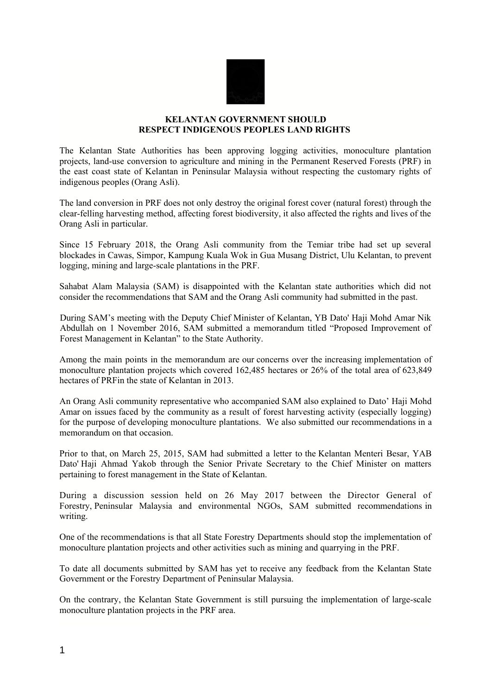

## **KELANTAN GOVERNMENT SHOULD RESPECT INDIGENOUS PEOPLES LAND RIGHTS**

The Kelantan State Authorities has been approving logging activities, monoculture plantation projects, land-use conversion to agriculture and mining in the Permanent Reserved Forests (PRF) in the east coast state of Kelantan in Peninsular Malaysia without respecting the customary rights of indigenous peoples (Orang Asli).

The land conversion in PRF does not only destroy the original forest cover (natural forest) through the clear-felling harvesting method, affecting forest biodiversity, it also affected the rights and lives of the Orang Asli in particular.

Since 15 February 2018, the Orang Asli community from the Temiar tribe had set up several blockades in Cawas, Simpor, Kampung Kuala Wok in Gua Musang District, Ulu Kelantan, to prevent logging, mining and large-scale plantations in the PRF.

Sahabat Alam Malaysia (SAM) is disappointed with the Kelantan state authorities which did not consider the recommendations that SAM and the Orang Asli community had submitted in the past.

During SAM's meeting with the Deputy Chief Minister of Kelantan, YB Dato' Haji Mohd Amar Nik Abdullah on 1 November 2016, SAM submitted a memorandum titled "Proposed Improvement of Forest Management in Kelantan" to the State Authority.

Among the main points in the memorandum are our concerns over the increasing implementation of monoculture plantation projects which covered 162,485 hectares or 26% of the total area of 623,849 hectares of PRFin the state of Kelantan in 2013.

An Orang Asli community representative who accompanied SAM also explained to Dato' Haji Mohd Amar on issues faced by the community as a result of forest harvesting activity (especially logging) for the purpose of developing monoculture plantations. We also submitted our recommendations in a memorandum on that occasion.

Prior to that, on March 25, 2015, SAM had submitted a letter to the Kelantan Menteri Besar, YAB Dato' Haji Ahmad Yakob through the Senior Private Secretary to the Chief Minister on matters pertaining to forest management in the State of Kelantan.

During a discussion session held on 26 May 2017 between the Director General of Forestry, Peninsular Malaysia and environmental NGOs, SAM submitted recommendations in writing.

One of the recommendations is that all State Forestry Departments should stop the implementation of monoculture plantation projects and other activities such as mining and quarrying in the PRF.

To date all documents submitted by SAM has yet to receive any feedback from the Kelantan State Government or the Forestry Department of Peninsular Malaysia.

On the contrary, the Kelantan State Government is still pursuing the implementation of large-scale monoculture plantation projects in the PRF area.